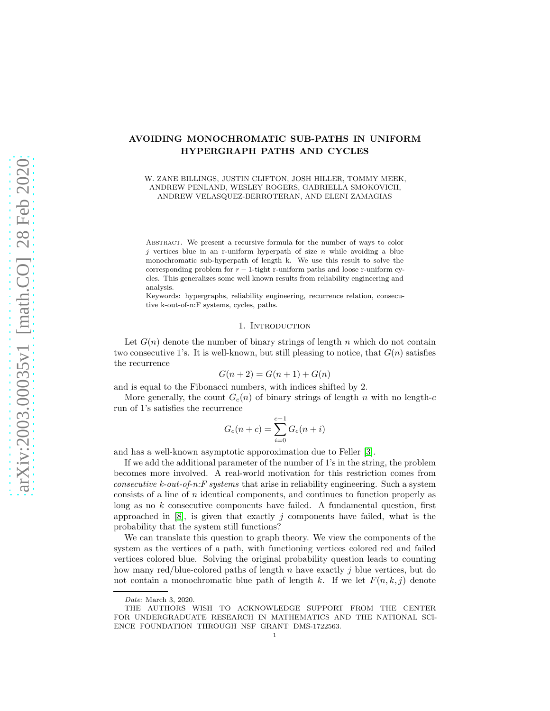# AVOIDING MONOCHROMATIC SUB-PATHS IN UNIFORM HYPERGRAPH PATHS AND CYCLES

### W. ZANE BILLINGS, JUSTIN CLIFTON, JOSH HILLER, TOMMY MEEK, ANDREW PENLAND, WESLEY ROGERS, GABRIELLA SMOKOVICH, ANDREW VELASQUEZ-BERROTERAN, AND ELENI ZAMAGIAS

Abstract. We present a recursive formula for the number of ways to color  $j$  vertices blue in an r-uniform hyperpath of size  $n$  while avoiding a blue monochromatic sub-hyperpath of length k. We use this result to solve the corresponding problem for  $r - 1$ -tight r-uniform paths and loose r-uniform cycles. This generalizes some well known results from reliability engineering and analysis.

Keywords: hypergraphs, reliability engineering, recurrence relation, consecutive k-out-of-n:F systems, cycles, paths.

### 1. Introduction

Let  $G(n)$  denote the number of binary strings of length n which do not contain two consecutive 1's. It is well-known, but still pleasing to notice, that  $G(n)$  satisfies the recurrence

$$
G(n + 2) = G(n + 1) + G(n)
$$

and is equal to the Fibonacci numbers, with indices shifted by 2.

More generally, the count  $G_c(n)$  of binary strings of length n with no length-c run of 1's satisfies the recurrence

$$
G_c(n+c)=\sum_{i=0}^{c-1}G_c(n+i)
$$

and has a well-known asymptotic apporoximation due to Feller [\[3\]](#page-11-0).

If we add the additional parameter of the number of 1's in the string, the problem becomes more involved. A real-world motivation for this restriction comes from *consecutive k-out-of-n:F systems* that arise in reliability engineering. Such a system consists of a line of n identical components, and continues to function properly as long as no  $k$  consecutive components have failed. A fundamental question, first approached in  $[8]$ , is given that exactly j components have failed, what is the probability that the system still functions?

We can translate this question to graph theory. We view the components of the system as the vertices of a path, with functioning vertices colored red and failed vertices colored blue. Solving the original probability question leads to counting how many red/blue-colored paths of length n have exactly j blue vertices, but do not contain a monochromatic blue path of length k. If we let  $F(n, k, j)$  denote

Date: March 3, 2020.

THE AUTHORS WISH TO ACKNOWLEDGE SUPPORT FROM THE CENTER FOR UNDERGRADUATE RESEARCH IN MATHEMATICS AND THE NATIONAL SCI-ENCE FOUNDATION THROUGH NSF GRANT DMS-1722563.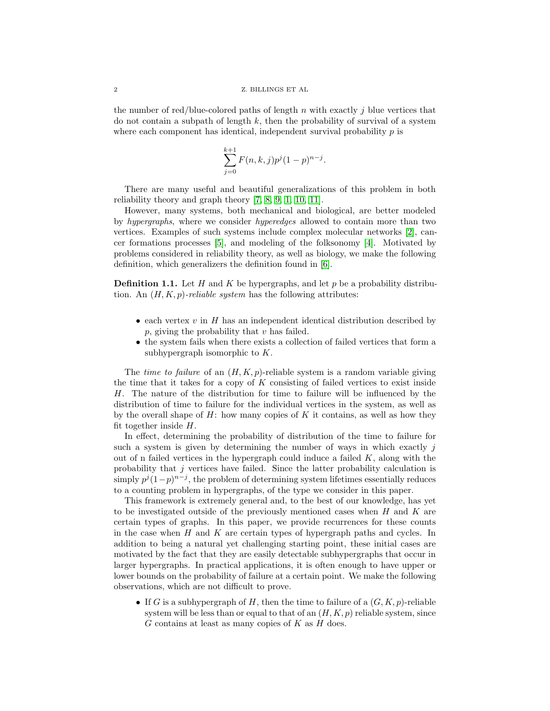the number of red/blue-colored paths of length n with exactly j blue vertices that do not contain a subpath of length  $k$ , then the probability of survival of a system where each component has identical, independent survival probability  $p$  is

$$
\sum_{j=0}^{k+1} F(n,k,j)p^j(1-p)^{n-j}.
$$

There are many useful and beautiful generalizations of this problem in both reliability theory and graph theory [\[7,](#page-11-2) [8,](#page-11-1) [9,](#page-11-3) [1,](#page-11-4) [10,](#page-11-5) [11\]](#page-11-6).

However, many systems, both mechanical and biological, are better modeled by *hypergraphs*, where we consider *hyperedges* allowed to contain more than two vertices. Examples of such systems include complex molecular networks [\[2\]](#page-11-7), cancer formations processes [\[5\]](#page-11-8), and modeling of the folksonomy [\[4\]](#page-11-9). Motivated by problems considered in reliability theory, as well as biology, we make the following definition, which generalizers the definition found in [\[6\]](#page-11-10).

**Definition 1.1.** Let H and K be hypergraphs, and let p be a probability distribution. An  $(H, K, p)$ -reliable system has the following attributes:

- each vertex  $v$  in  $H$  has an independent identical distribution described by  $p$ , giving the probability that  $v$  has failed.
- the system fails when there exists a collection of failed vertices that form a subhypergraph isomorphic to K.

The *time to failure* of an  $(H, K, p)$ -reliable system is a random variable giving the time that it takes for a copy of  $K$  consisting of failed vertices to exist inside H. The nature of the distribution for time to failure will be influenced by the distribution of time to failure for the individual vertices in the system, as well as by the overall shape of  $H$ : how many copies of  $K$  it contains, as well as how they fit together inside  $H$ .

In effect, determining the probability of distribution of the time to failure for such a system is given by determining the number of ways in which exactly  $i$ out of n failed vertices in the hypergraph could induce a failed  $K$ , along with the probability that  $j$  vertices have failed. Since the latter probability calculation is simply  $p^j(1-p)^{n-j}$ , the problem of determining system lifetimes essentially reduces to a counting problem in hypergraphs, of the type we consider in this paper.

This framework is extremely general and, to the best of our knowledge, has yet to be investigated outside of the previously mentioned cases when  $H$  and  $K$  are certain types of graphs. In this paper, we provide recurrences for these counts in the case when  $H$  and  $K$  are certain types of hypergraph paths and cycles. In addition to being a natural yet challenging starting point, these initial cases are motivated by the fact that they are easily detectable subhypergraphs that occur in larger hypergraphs. In practical applications, it is often enough to have upper or lower bounds on the probability of failure at a certain point. We make the following observations, which are not difficult to prove.

• If G is a subhypergraph of H, then the time to failure of a  $(G, K, p)$ -reliable system will be less than or equal to that of an  $(H, K, p)$  reliable system, since  $G$  contains at least as many copies of  $K$  as  $H$  does.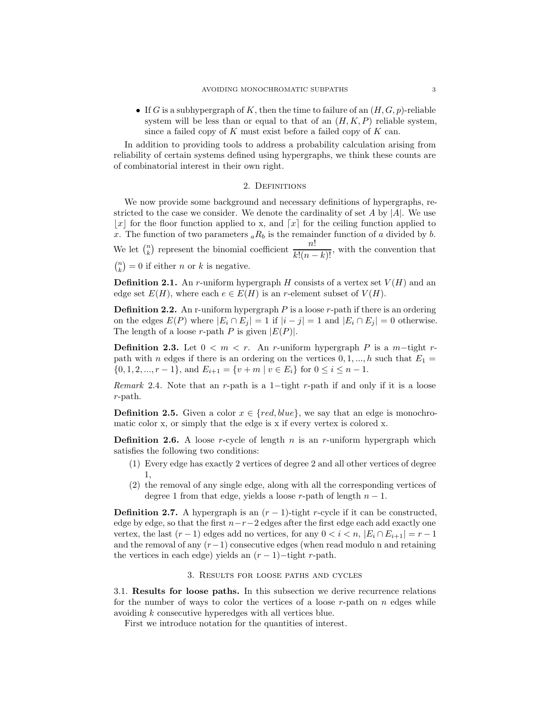• If G is a subhypergraph of K, then the time to failure of an  $(H, G, p)$ -reliable system will be less than or equal to that of an  $(H, K, P)$  reliable system, since a failed copy of  $K$  must exist before a failed copy of  $K$  can.

In addition to providing tools to address a probability calculation arising from reliability of certain systems defined using hypergraphs, we think these counts are of combinatorial interest in their own right.

## 2. Definitions

We now provide some background and necessary definitions of hypergraphs, restricted to the case we consider. We denote the cardinality of set A by  $|A|$ . We use |x| for the floor function applied to x, and  $\lceil x \rceil$  for the ceiling function applied to x. The function of two parameters  ${}_{a}R_{b}$  is the remainder function of a divided by b. We let  $\binom{n}{k}$  represent the binomial coefficient  $\frac{n!}{k!(n-k)!}$ , with the convention that  $\binom{n}{k} = 0$  if either *n* or *k* is negative.

**Definition 2.1.** An r-uniform hypergraph H consists of a vertex set  $V(H)$  and an edge set  $E(H)$ , where each  $e \in E(H)$  is an r-element subset of  $V(H)$ .

**Definition 2.2.** An r-uniform hypergraph  $P$  is a loose  $r$ -path if there is an ordering on the edges  $E(P)$  where  $|E_i \cap E_j| = 1$  if  $|i - j| = 1$  and  $|E_i \cap E_j| = 0$  otherwise. The length of a loose r-path P is given  $|E(P)|$ .

**Definition 2.3.** Let  $0 < m < r$ . An r-uniform hypergraph P is a m-tight rpath with n edges if there is an ordering on the vertices  $0, 1, ..., h$  such that  $E_1 =$  $\{0, 1, 2, ..., r - 1\}$ , and  $E_{i+1} = \{v + m \mid v \in E_i\}$  for  $0 \le i \le n - 1$ .

*Remark* 2.4. Note that an r-path is a 1−tight r-path if and only if it is a loose r-path.

**Definition 2.5.** Given a color  $x \in \{red, blue\}$ , we say that an edge is monochromatic color x, or simply that the edge is x if every vertex is colored x.

**Definition 2.6.** A loose r-cycle of length n is an r-uniform hypergraph which satisfies the following two conditions:

- (1) Every edge has exactly 2 vertices of degree 2 and all other vertices of degree 1,
- (2) the removal of any single edge, along with all the corresponding vertices of degree 1 from that edge, yields a loose r-path of length  $n - 1$ .

**Definition 2.7.** A hypergraph is an  $(r - 1)$ -tight r-cycle if it can be constructed, edge by edge, so that the first  $n-r-2$  edges after the first edge each add exactly one vertex, the last  $(r-1)$  edges add no vertices, for any  $0 < i < n$ ,  $|E_i \cap E_{i+1}| = r-1$ and the removal of any  $(r-1)$  consecutive edges (when read modulo n and retaining the vertices in each edge) yields an  $(r-1)$ -tight r-path.

#### 3. Results for loose paths and cycles

3.1. Results for loose paths. In this subsection we derive recurrence relations for the number of ways to color the vertices of a loose  $r$ -path on  $n$  edges while avoiding k consecutive hyperedges with all vertices blue.

First we introduce notation for the quantities of interest.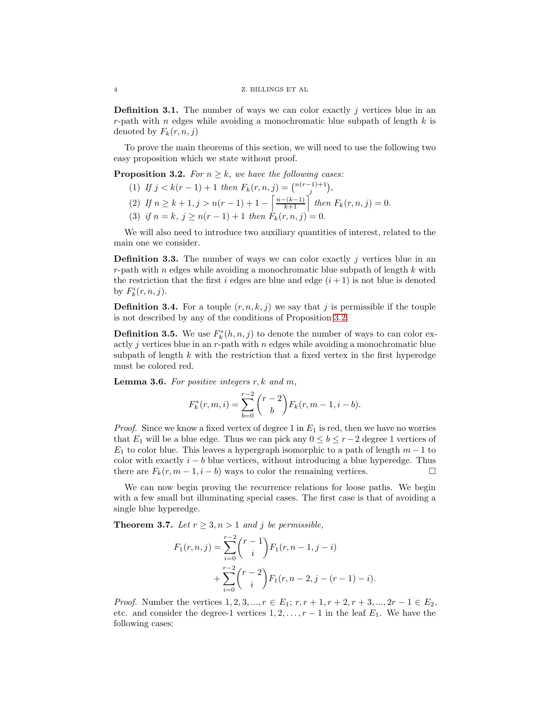**Definition 3.1.** The number of ways we can color exactly  $j$  vertices blue in an r-path with  $n$  edges while avoiding a monochromatic blue subpath of length  $k$  is denoted by  $F_k(r, n, j)$ 

To prove the main theorems of this section, we will need to use the following two easy proposition which we state without proof.

<span id="page-3-0"></span>**Proposition 3.2.** *For*  $n \geq k$ *, we have the following cases:* 

- (1) If  $j < k(r-1)+1$  then  $F_k(r, n, j) = {n(r-1)+1 \choose j},$
- (2) If  $n \geq k+1, j > n(r-1)+1 \left\lceil \frac{n-(k-1)}{k+1} \right\rceil$  then  $F_k(r, n, j) = 0$ .
- (3) *if*  $n = k$ ,  $j \ge n(r 1) + 1$  *then*  $F_k(r, n, j) = 0$ .

We will also need to introduce two auxiliary quantities of interest, related to the main one we consider.

**Definition 3.3.** The number of ways we can color exactly  $j$  vertices blue in an r-path with n edges while avoiding a monochromatic blue subpath of length  $k$  with the restriction that the first i edges are blue and edge  $(i + 1)$  is not blue is denoted by  $F_k^i(r, n, j)$ .

**Definition 3.4.** For a touple  $(r, n, k, j)$  we say that j is permissible if the touple is not described by any of the conditions of Proposition [3.2.](#page-3-0)

**Definition 3.5.** We use  $F_k^*(h, n, j)$  to denote the number of ways to can color exactly  $j$  vertices blue in an  $r$ -path with  $n$  edges while avoiding a monochromatic blue subpath of length  $k$  with the restriction that a fixed vertex in the first hyperedge must be colored red.

<span id="page-3-1"></span>Lemma 3.6. *For positive integers* r, k *and* m*,*

$$
F_k^*(r, m, i) = \sum_{b=0}^{r-2} {r-2 \choose b} F_k(r, m-1, i-b).
$$

*Proof.* Since we know a fixed vertex of degree 1 in  $E_1$  is red, then we have no worries that  $E_1$  will be a blue edge. Thus we can pick any  $0 \leq b \leq r-2$  degree 1 vertices of  $E_1$  to color blue. This leaves a hypergraph isomorphic to a path of length  $m-1$  to color with exactly  $i - b$  blue vertices, without introducing a blue hyperedge. Thus there are  $F_k(r, m-1, i-b)$  ways to color the remaining vertices.

We can now begin proving the recurrence relations for loose paths. We begin with a few small but illuminating special cases. The first case is that of avoiding a single blue hyperedge.

**Theorem 3.7.** *Let*  $r \geq 3, n > 1$  *and j be permissible,* 

$$
F_1(r, n, j) = \sum_{i=0}^{r-2} {r-1 \choose i} F_1(r, n-1, j-i)
$$
  
+ 
$$
\sum_{i=0}^{r-2} {r-2 \choose i} F_1(r, n-2, j-(r-1)-i).
$$

*Proof.* Number the vertices  $1, 2, 3, ..., r \in E_1; r, r + 1, r + 2, r + 3, ..., 2r - 1 \in E_2$ , etc. and consider the degree-1 vertices  $1, 2, \ldots, r-1$  in the leaf  $E_1$ . We have the following cases: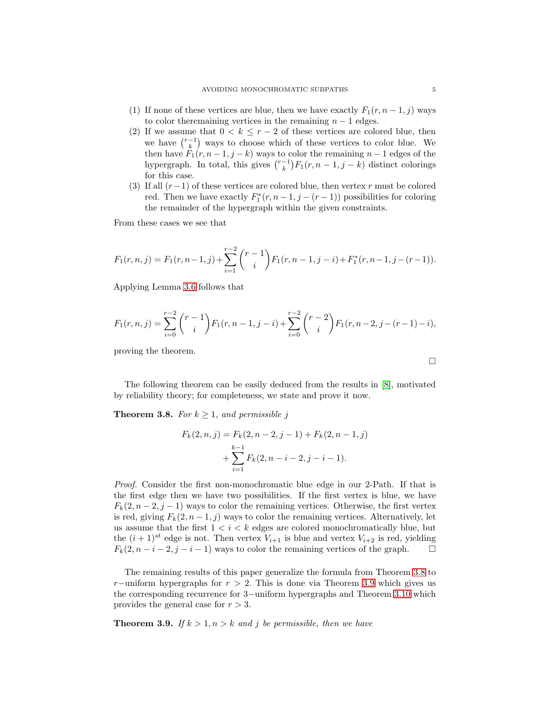- (1) If none of these vertices are blue, then we have exactly  $F_1(r, n-1, j)$  ways to color theremaining vertices in the remaining  $n - 1$  edges.
- (2) If we assume that  $0 < k \leq r 2$  of these vertices are colored blue, then we have  $\binom{r-1}{k}$  ways to choose which of these vertices to color blue. We then have  $F_1(r, n-1, j-k)$  ways to color the remaining  $n-1$  edges of the hypergraph. In total, this gives  $\binom{r-1}{k} F_1(r, n-1, j-k)$  distinct colorings for this case.
- (3) If all  $(r-1)$  of these vertices are colored blue, then vertex r must be colored red. Then we have exactly  $F_1^*(r, n-1, j-(r-1))$  possibilities for coloring the remainder of the hypergraph within the given constraints.

From these cases we see that

$$
F_1(r,n,j) = F_1(r,n-1,j) + \sum_{i=1}^{r-2} {r-1 \choose i} F_1(r,n-1,j-i) + F_1^*(r,n-1,j-(r-1)).
$$

Applying Lemma [3.6](#page-3-1) follows that

$$
F_1(r,n,j) = \sum_{i=0}^{r-2} {r-1 \choose i} F_1(r,n-1,j-i) + \sum_{i=0}^{r-2} {r-2 \choose i} F_1(r,n-2,j-(r-1)-i),
$$

proving the theorem.

The following theorem can be easily deduced from the results in [\[8\]](#page-11-1), motivated by reliability theory; for completeness, we state and prove it now.

<span id="page-4-0"></span>**Theorem 3.8.** *For*  $k \geq 1$ *, and permissible j* 

$$
F_k(2, n, j) = F_k(2, n - 2, j - 1) + F_k(2, n - 1, j)
$$

$$
+ \sum_{i=1}^{k-1} F_k(2, n - i - 2, j - i - 1).
$$

*Proof.* Consider the first non-monochromatic blue edge in our 2-Path. If that is the first edge then we have two possibilities. If the first vertex is blue, we have  $F_k(2, n-2, j-1)$  ways to color the remaining vertices. Otherwise, the first vertex is red, giving  $F_k(2, n-1, j)$  ways to color the remaining vertices. Alternatively, let us assume that the first  $1 < i < k$  edges are colored monochromatically blue, but the  $(i + 1)^{st}$  edge is not. Then vertex  $V_{i+1}$  is blue and vertex  $V_{i+2}$  is red, yielding  $F_k(2, n-i-2, j-i-1)$  ways to color the remaining vertices of the graph.  $\Box$ 

The remaining results of this paper generalize the formula from Theorem [3.8](#page-4-0) to r−uniform hypergraphs for  $r > 2$ . This is done via Theorem [3.9](#page-4-1) which gives us the corresponding recurrence for 3−uniform hypergraphs and Theorem [3.10](#page-6-0) which provides the general case for  $r > 3$ .

<span id="page-4-1"></span>**Theorem 3.9.** *If*  $k > 1, n > k$  *and j be permissible, then we have* 

 $\Box$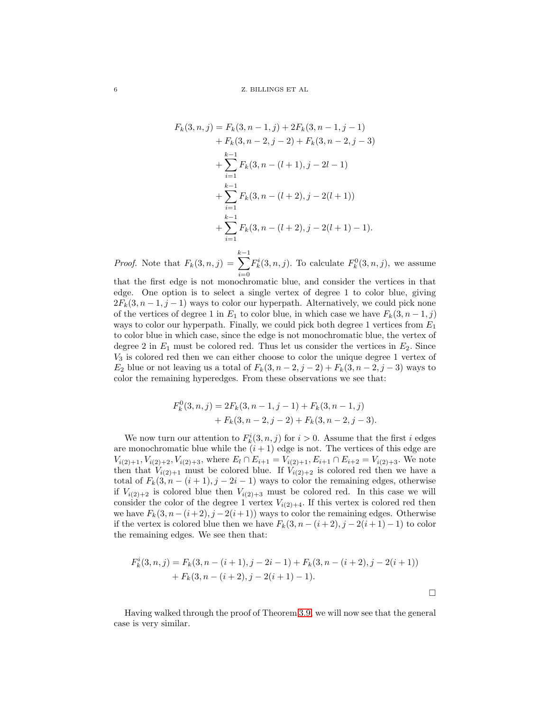$$
F_k(3, n, j) = F_k(3, n - 1, j) + 2F_k(3, n - 1, j - 1)
$$
  
+  $F_k(3, n - 2, j - 2) + F_k(3, n - 2, j - 3)$   
+  $\sum_{i=1}^{k-1} F_k(3, n - (l + 1), j - 2l - 1)$   
+  $\sum_{i=1}^{k-1} F_k(3, n - (l + 2), j - 2(l + 1))$   
+  $\sum_{i=1}^{k-1} F_k(3, n - (l + 2), j - 2(l + 1) - 1).$ 

*Proof.* Note that  $F_k(3, n, j) =$  $\sum^{k-1}$  $i=0$  $F_k^i(3,n,j)$ . To calculate  $F_k^0(3,n,j)$ , we assume

that the first edge is not monochromatic blue, and consider the vertices in that edge. One option is to select a single vertex of degree 1 to color blue, giving  $2F_k(3, n-1, j-1)$  ways to color our hyperpath. Alternatively, we could pick none of the vertices of degree 1 in  $E_1$  to color blue, in which case we have  $F_k(3, n-1, j)$ ways to color our hyperpath. Finally, we could pick both degree 1 vertices from  $E_1$ to color blue in which case, since the edge is not monochromatic blue, the vertex of degree 2 in  $E_1$  must be colored red. Thus let us consider the vertices in  $E_2$ . Since  $V_3$  is colored red then we can either choose to color the unique degree 1 vertex of  $E_2$  blue or not leaving us a total of  $F_k(3, n-2, j-2) + F_k(3, n-2, j-3)$  ways to color the remaining hyperedges. From these observations we see that:

$$
F_k^0(3, n, j) = 2F_k(3, n - 1, j - 1) + F_k(3, n - 1, j) + F_k(3, n - 2, j - 2) + F_k(3, n - 2, j - 3).
$$

We now turn our attention to  $F_k^i(3, n, j)$  for  $i > 0$ . Assume that the first i edges are monochromatic blue while the  $(i + 1)$  edge is not. The vertices of this edge are  $V_{i(2)+1}, V_{i(2)+2}, V_{i(2)+3}$ , where  $E_l \cap E_{i+1} = V_{i(2)+1}, E_{i+1} \cap E_{i+2} = V_{i(2)+3}$ . We note then that  $V_{i(2)+1}$  must be colored blue. If  $V_{i(2)+2}$  is colored red then we have a total of  $F_k(3, n - (i + 1), j - 2i - 1)$  ways to color the remaining edges, otherwise if  $V_{i(2)+2}$  is colored blue then  $V_{i(2)+3}$  must be colored red. In this case we will consider the color of the degree 1 vertex  $V_{i(2)+4}$ . If this vertex is colored red then we have  $F_k(3, n-(i+2), j-2(i+1))$  ways to color the remaining edges. Otherwise if the vertex is colored blue then we have  $F_k(3, n-(i+2), j-2(i+1)-1)$  to color the remaining edges. We see then that:

$$
F_k^i(3, n, j) = F_k(3, n - (i + 1), j - 2i - 1) + F_k(3, n - (i + 2), j - 2(i + 1))
$$
  
+ 
$$
F_k(3, n - (i + 2), j - 2(i + 1) - 1).
$$

 $\Box$ 

Having walked through the proof of Theorem [3.9,](#page-4-1) we will now see that the general case is very similar.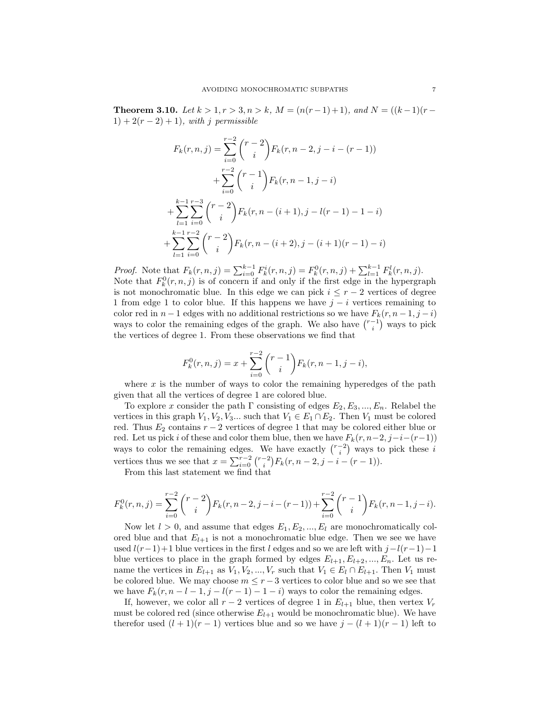<span id="page-6-0"></span>**Theorem 3.10.** *Let*  $k > 1, r > 3, n > k$ *,*  $M = (n(r-1)+1)$ *, and*  $N = ((k-1)(r-1))$  $1) + 2(r - 2) + 1$ *)*, with *j* permissible

$$
F_k(r, n, j) = \sum_{i=0}^{r-2} {r-2 \choose i} F_k(r, n-2, j-i-(r-1))
$$
  
+
$$
\sum_{i=0}^{r-2} {r-1 \choose i} F_k(r, n-1, j-i)
$$
  
+
$$
\sum_{l=1}^{k-1} \sum_{i=0}^{r-3} {r-2 \choose i} F_k(r, n-(i+1), j-l(r-1)-1-i)
$$
  
+
$$
\sum_{l=1}^{k-1} \sum_{i=0}^{r-2} {r-2 \choose i} F_k(r, n-(i+2), j-(i+1)(r-1)-i)
$$

*Proof.* Note that  $F_k(r, n, j) = \sum_{i=0}^{k-1} F_k^i(r, n, j) = F_k^0(r, n, j) + \sum_{l=1}^{k-1} F_k^l(r, n, j)$ . Note that  $F_k^0(r, n, j)$  is of concern if and only if the first edge in the hypergraph is not monochromatic blue. In this edge we can pick  $i \leq r-2$  vertices of degree 1 from edge 1 to color blue. If this happens we have  $j - i$  vertices remaining to color red in  $n-1$  edges with no additional restrictions so we have  $F_k(r, n-1, j-i)$ ways to color the remaining edges of the graph. We also have  $\binom{r-1}{i}$  ways to pick the vertices of degree 1. From these observations we find that

$$
F_k^0(r, n, j) = x + \sum_{i=0}^{r-2} {r-1 \choose i} F_k(r, n-1, j-i),
$$

where  $x$  is the number of ways to color the remaining hyperedges of the path given that all the vertices of degree 1 are colored blue.

To explore x consider the path  $\Gamma$  consisting of edges  $E_2, E_3, ..., E_n$ . Relabel the vertices in this graph  $V_1, V_2, V_3...$  such that  $V_1 \in E_1 \cap E_2$ . Then  $V_1$  must be colored red. Thus  $E_2$  contains  $r - 2$  vertices of degree 1 that may be colored either blue or red. Let us pick i of these and color them blue, then we have  $F_k(r, n-2, j-i-(r-1))$ ways to color the remaining edges. We have exactly  $\binom{r-2}{i}$  ways to pick these i vertices thus we see that  $x = \sum_{i=0}^{r-2} {r-2 \choose i} F_k(r, n-2, j-i-(r-1)).$ 

From this last statement we find that

$$
F_k^0(r,n,j) = \sum_{i=0}^{r-2} {r-2 \choose i} F_k(r,n-2,j-i-(r-1)) + \sum_{i=0}^{r-2} {r-1 \choose i} F_k(r,n-1,j-i).
$$

Now let  $l > 0$ , and assume that edges  $E_1, E_2, ..., E_l$  are monochromatically colored blue and that  $E_{l+1}$  is not a monochromatic blue edge. Then we see we have used  $l(r-1)+1$  blue vertices in the first l edges and so we are left with  $j-l(r-1)-1$ blue vertices to place in the graph formed by edges  $E_{l+1}, E_{l+2}, ..., E_n$ . Let us rename the vertices in  $E_{l+1}$  as  $V_1, V_2, ..., V_r$  such that  $V_1 \in E_l \cap E_{l+1}$ . Then  $V_1$  must be colored blue. We may choose  $m \leq r-3$  vertices to color blue and so we see that we have  $F_k(r, n-l-1, j-l(r-1)-1-i)$  ways to color the remaining edges.

If, however, we color all  $r-2$  vertices of degree 1 in  $E_{l+1}$  blue, then vertex  $V_r$ must be colored red (since otherwise  $E_{l+1}$  would be monochromatic blue). We have therefor used  $(l + 1)(r - 1)$  vertices blue and so we have  $j - (l + 1)(r - 1)$  left to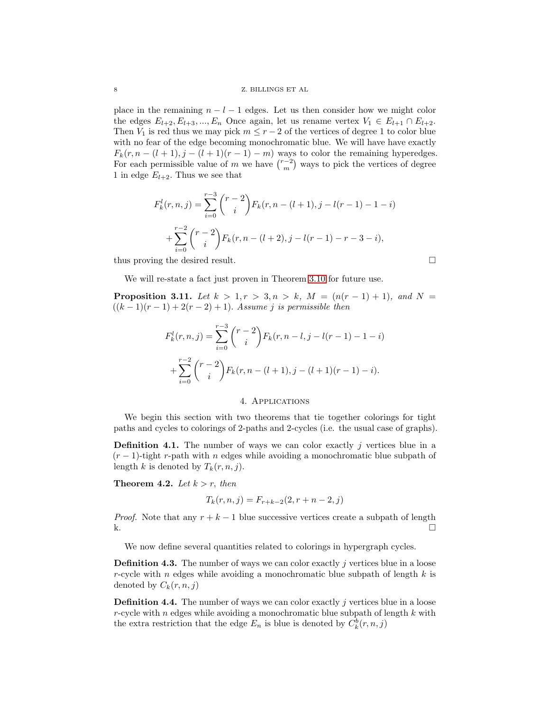#### 8 Z. BILLINGS ET AL

place in the remaining  $n - l - 1$  edges. Let us then consider how we might color the edges  $E_{l+2}, E_{l+3}, ..., E_n$  Once again, let us rename vertex  $V_1 \in E_{l+1} \cap E_{l+2}$ . Then  $V_1$  is red thus we may pick  $m \leq r-2$  of the vertices of degree 1 to color blue with no fear of the edge becoming monochromatic blue. We will have have exactly  $F_k(r, n - (l + 1), j - (l + 1)(r - 1) - m)$  ways to color the remaining hyperedges. For each permissible value of m we have  $\binom{r-2}{m}$  ways to pick the vertices of degree 1 in edge  $E_{l+2}$ . Thus we see that

$$
F_k^l(r, n, j) = \sum_{i=0}^{r-3} {r-2 \choose i} F_k(r, n - (l+1), j - l(r-1) - 1 - i)
$$
  
+ 
$$
\sum_{i=0}^{r-2} {r-2 \choose i} F_k(r, n - (l+2), j - l(r-1) - r - 3 - i),
$$

thus proving the desired result.  $\square$ 

We will re-state a fact just proven in Theorem [3.10](#page-6-0) for future use.

**Proposition 3.11.** Let  $k > 1, r > 3, n > k$ ,  $M = (n(r - 1) + 1)$ , and  $N =$  $((k-1)(r-1) + 2(r-2) + 1)$ . *Assume j is permissible then* 

$$
F_k^l(r, n, j) = \sum_{i=0}^{r-3} {r-2 \choose i} F_k(r, n-l, j-l(r-1)-1-i)
$$
  
+
$$
\sum_{i=0}^{r-2} {r-2 \choose i} F_k(r, n-(l+1), j-(l+1)(r-1)-i).
$$

## 4. Applications

We begin this section with two theorems that tie together colorings for tight paths and cycles to colorings of 2-paths and 2-cycles (i.e. the usual case of graphs).

**Definition 4.1.** The number of ways we can color exactly j vertices blue in a  $(r-1)$ -tight r-path with n edges while avoiding a monochromatic blue subpath of length k is denoted by  $T_k(r, n, j)$ .

**Theorem 4.2.** *Let*  $k > r$ *, then* 

$$
T_k(r, n, j) = F_{r+k-2}(2, r+n-2, j)
$$

*Proof.* Note that any  $r + k - 1$  blue successive vertices create a subpath of length  $k.$ 

We now define several quantities related to colorings in hypergraph cycles.

**Definition 4.3.** The number of ways we can color exactly j vertices blue in a loose r-cycle with n edges while avoiding a monochromatic blue subpath of length  $k$  is denoted by  $C_k(r, n, j)$ 

**Definition 4.4.** The number of ways we can color exactly  $j$  vertices blue in a loose r-cycle with n edges while avoiding a monochromatic blue subpath of length k with the extra restriction that the edge  $E_n$  is blue is denoted by  $C_k^b(r, n, j)$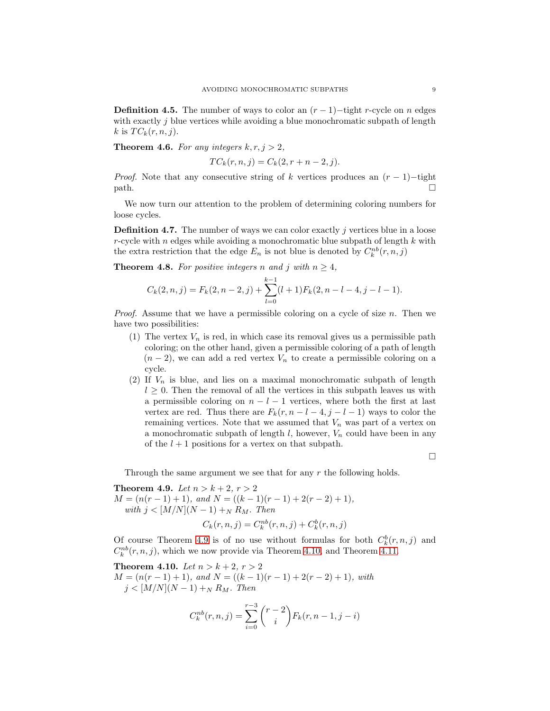**Definition 4.5.** The number of ways to color an  $(r-1)$ -tight r-cycle on n edges with exactly  $j$  blue vertices while avoiding a blue monochromatic subpath of length k is  $TC_k(r, n, j)$ .

**Theorem 4.6.** For any integers  $k, r, j > 2$ ,

$$
TC_k(r, n, j) = C_k(2, r + n - 2, j).
$$

*Proof.* Note that any consecutive string of k vertices produces an  $(r - 1)$ −tight  $path.$ 

We now turn our attention to the problem of determining coloring numbers for loose cycles.

**Definition 4.7.** The number of ways we can color exactly  $j$  vertices blue in a loose r-cycle with n edges while avoiding a monochromatic blue subpath of length  $k$  with the extra restriction that the edge  $E_n$  is not blue is denoted by  $C_k^{nb}(r, n, j)$ 

**Theorem 4.8.** For positive integers n and j with  $n \geq 4$ ,

$$
C_k(2, n, j) = F_k(2, n-2, j) + \sum_{l=0}^{k-1} (l+1) F_k(2, n-l-4, j-l-1).
$$

*Proof.* Assume that we have a permissible coloring on a cycle of size n. Then we have two possibilities:

- (1) The vertex  $V_n$  is red, in which case its removal gives us a permissible path coloring; on the other hand, given a permissible coloring of a path of length  $(n-2)$ , we can add a red vertex  $V_n$  to create a permissible coloring on a cycle.
- (2) If  $V_n$  is blue, and lies on a maximal monochromatic subpath of length  $l \geq 0$ . Then the removal of all the vertices in this subpath leaves us with a permissible coloring on  $n - l - 1$  vertices, where both the first at last vertex are red. Thus there are  $F_k(r, n-l-4, j-l-1)$  ways to color the remaining vertices. Note that we assumed that  $V_n$  was part of a vertex on a monochromatic subpath of length  $l$ , however,  $V_n$  could have been in any of the  $l + 1$  positions for a vertex on that subpath.

 $\Box$ 

Through the same argument we see that for any  $r$  the following holds.

<span id="page-8-0"></span>**Theorem 4.9.** *Let*  $n > k + 2, r > 2$ 

 $M = (n(r - 1) + 1)$ *, and*  $N = ((k - 1)(r - 1) + 2(r - 2) + 1)$ *, with*  $j < [M/N](N-1) +_N R_M$ . *Then* 

$$
C_k(r, n, j) = C_k^{nb}(r, n, j) + C_k^{b}(r, n, j)
$$

Of course Theorem [4.9](#page-8-0) is of no use without formulas for both  $C_k^b(r, n, j)$  and  $C_k^{nb}(r, n, j)$ , which we now provide via Theorem [4.10,](#page-8-1) and Theorem [4.11.](#page-9-0)

<span id="page-8-1"></span>**Theorem 4.10.** *Let*  $n > k + 2, r > 2$  $M = (n(r - 1) + 1)$ *, and*  $N = ((k - 1)(r - 1) + 2(r - 2) + 1)$ *, with*  $j < [M/N](N-1) +_N R_M$ . *Then* 

$$
C_k^{nb}(r, n, j) = \sum_{i=0}^{r-3} {r-2 \choose i} F_k(r, n-1, j-i)
$$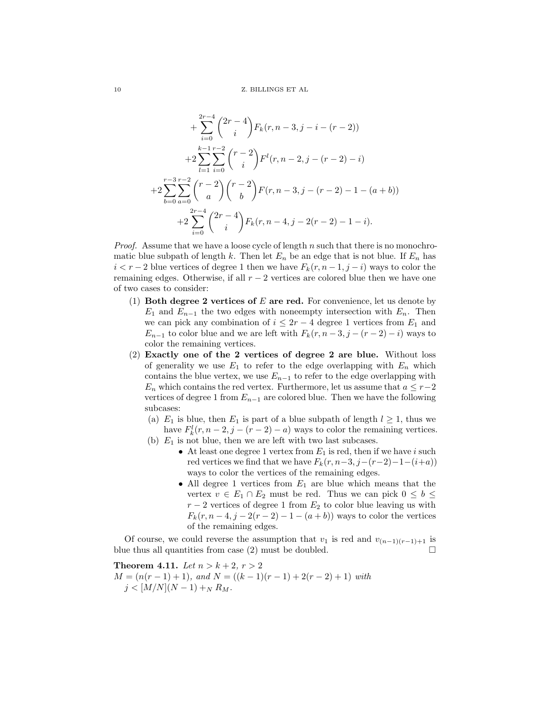$$
+\sum_{i=0}^{2r-4} \binom{2r-4}{i} F_k(r, n-3, j-i-(r-2))
$$
  
+2
$$
\sum_{l=1}^{k-1} \sum_{i=0}^{r-2} \binom{r-2}{i} F^l(r, n-2, j-(r-2)-i)
$$
  
+2
$$
\sum_{b=0}^{r-3} \sum_{a=0}^{r-2} \binom{r-2}{a} \binom{r-2}{b} F(r, n-3, j-(r-2)-1-(a+b))
$$
  
+2
$$
\sum_{i=0}^{2r-4} \binom{2r-4}{i} F_k(r, n-4, j-2(r-2)-1-i).
$$

*Proof.* Assume that we have a loose cycle of length n such that there is no monochromatic blue subpath of length k. Then let  $E_n$  be an edge that is not blue. If  $E_n$  has  $i < r - 2$  blue vertices of degree 1 then we have  $F_k(r, n-1, j-i)$  ways to color the remaining edges. Otherwise, if all  $r - 2$  vertices are colored blue then we have one of two cases to consider:

- (1) Both degree 2 vertices of  $E$  are red. For convenience, let us denote by  $E_1$  and  $E_{n-1}$  the two edges with noneempty intersection with  $E_n$ . Then we can pick any combination of  $i \leq 2r - 4$  degree 1 vertices from  $E_1$  and  $E_{n-1}$  to color blue and we are left with  $F_k(r, n-3, j-(r-2)-i)$  ways to color the remaining vertices.
- (2) Exactly one of the 2 vertices of degree 2 are blue. Without loss of generality we use  $E_1$  to refer to the edge overlapping with  $E_n$  which contains the blue vertex, we use  $E_{n-1}$  to refer to the edge overlapping with  $E_n$  which contains the red vertex. Furthermore, let us assume that  $a \leq r-2$ vertices of degree 1 from  $E_{n-1}$  are colored blue. Then we have the following subcases:
	- (a)  $E_1$  is blue, then  $E_1$  is part of a blue subpath of length  $l \geq 1$ , thus we have  $F_k^l(r, n-2, j-(r-2)-a)$  ways to color the remaining vertices.
	- (b)  $E_1$  is not blue, then we are left with two last subcases.
		- At least one degree 1 vertex from  $E_1$  is red, then if we have i such red vertices we find that we have  $F_k(r, n-3, j-(r-2)-1-(i+a))$ ways to color the vertices of the remaining edges.
			- All degree 1 vertices from  $E_1$  are blue which means that the vertex  $v \in E_1 \cap E_2$  must be red. Thus we can pick  $0 \leq b \leq$  $r-2$  vertices of degree 1 from  $E_2$  to color blue leaving us with  $F_k(r, n-4, j-2(r-2)-1-(a+b))$  ways to color the vertices of the remaining edges.

Of course, we could reverse the assumption that  $v_1$  is red and  $v_{(n-1)(r-1)+1}$  is blue thus all quantities from case  $(2)$  must be doubled.

<span id="page-9-0"></span>**Theorem 4.11.** *Let*  $n > k + 2, r > 2$  $M = (n(r - 1) + 1)$ *, and*  $N = ((k - 1)(r - 1) + 2(r - 2) + 1)$  *with*  $j < [M/N](N-1) +_N R_M$ .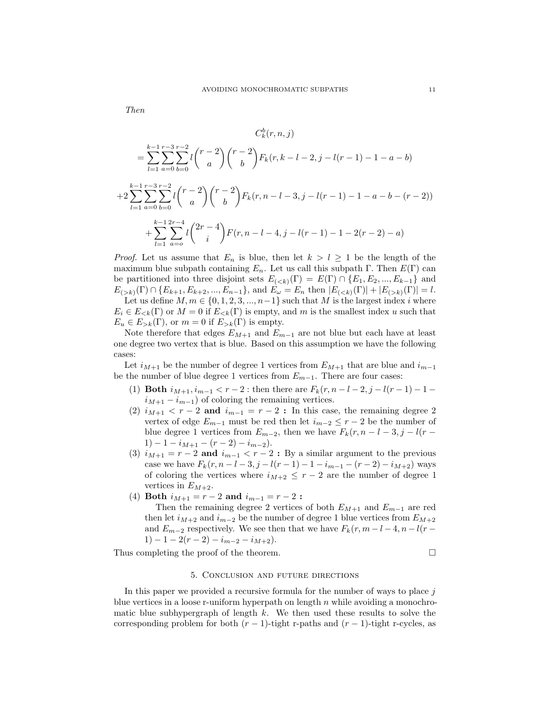*Then*

$$
C_k^b(r, n, j)
$$
  
= 
$$
\sum_{l=1}^{k-1} \sum_{a=0}^{r-3} \sum_{b=0}^{r-2} l \binom{r-2}{a} \binom{r-2}{b} F_k(r, k-l-2, j-l(r-1)-1-a-b)
$$
  
+
$$
2 \sum_{l=1}^{k-1} \sum_{a=0}^{r-3} \sum_{b=0}^{r-2} l \binom{r-2}{a} \binom{r-2}{b} F_k(r, n-l-3, j-l(r-1)-1-a-b-(r-2))
$$
  
+
$$
\sum_{l=1}^{k-1} \sum_{a=0}^{2r-4} l \binom{2r-4}{i} F(r, n-l-4, j-l(r-1)-1-2(r-2)-a)
$$

*Proof.* Let us assume that  $E_n$  is blue, then let  $k > l \geq 1$  be the length of the maximum blue subpath containing  $E_n$ . Let us call this subpath Γ. Then  $E(\Gamma)$  can be partitioned into three disjoint sets  $E_{(*k*)}(\Gamma) = E(\Gamma) \cap \{E_1, E_2, ..., E_{k-1}\}\$ and  $E_{(>k)}(\Gamma) \cap \{E_{k+1}, E_{k+2}, ..., E_{n-1}\}\$ , and  $E_{\omega} = E_n$  then  $|E_{(k)}(\Gamma)| = l$ .

Let us define  $M, m \in \{0, 1, 2, 3, ..., n-1\}$  such that M is the largest index i where  $E_i \in E_{\leq k}(\Gamma)$  or  $M = 0$  if  $E_{\leq k}(\Gamma)$  is empty, and m is the smallest index u such that  $E_u \in E_{>k}(\Gamma)$ , or  $m = 0$  if  $E_{>k}(\Gamma)$  is empty.

Note therefore that edges  $E_{M+1}$  and  $E_{m-1}$  are not blue but each have at least one degree two vertex that is blue. Based on this assumption we have the following cases:

Let  $i_{M+1}$  be the number of degree 1 vertices from  $E_{M+1}$  that are blue and  $i_{m-1}$ be the number of blue degree 1 vertices from  $E_{m-1}$ . There are four cases:

- (1) **Both**  $i_{M+1}, i_{m-1} < r-2$ : then there are  $F_k(r, n-l-2, j-l(r-1)-1$  $i_{M+1} - i_{m-1}$  of coloring the remaining vertices.
- (2)  $i_{M+1} < r-2$  and  $i_{m-1} = r-2$ : In this case, the remaining degree 2 vertex of edge  $E_{m-1}$  must be red then let  $i_{m-2} \leq r-2$  be the number of blue degree 1 vertices from  $E_{m-2}$ , then we have  $F_k(r, n-l-3, j-l(r-1))$  $1) - 1 - i_{M+1} - (r - 2) - i_{m-2}).$
- (3)  $i_{M+1} = r 2$  and  $i_{m-1} < r 2$ : By a similar argument to the previous case we have  $F_k(r, n-l-3, j-l(r-1)-1-i_{m-1}-(r-2)-i_{M+2})$  ways of coloring the vertices where  $i_{M+2} \leq r-2$  are the number of degree 1 vertices in  $E_{M+2}$ .
- (4) Both  $i_{M+1} = r 2$  and  $i_{m-1} = r 2$ :

Then the remaining degree 2 vertices of both  $E_{M+1}$  and  $E_{m-1}$  are red then let  $i_{M+2}$  and  $i_{m-2}$  be the number of degree 1 blue vertices from  $E_{M+2}$ and  $E_{m-2}$  respectively. We see then that we have  $F_k(r, m-l-4, n-l(r-4))$ 1) – 1 – 2(r – 2) –  $i_{m-2}$  –  $i_{M+2}$ ).

Thus completing the proof of the theorem.

$$
\qquad \qquad \Box
$$

#### 5. Conclusion and future directions

In this paper we provided a recursive formula for the number of ways to place  $j$ blue vertices in a loose r-uniform hyperpath on length  $n$  while avoiding a monochromatic blue subhypergraph of length  $k$ . We then used these results to solve the corresponding problem for both  $(r - 1)$ -tight r-paths and  $(r - 1)$ -tight r-cycles, as